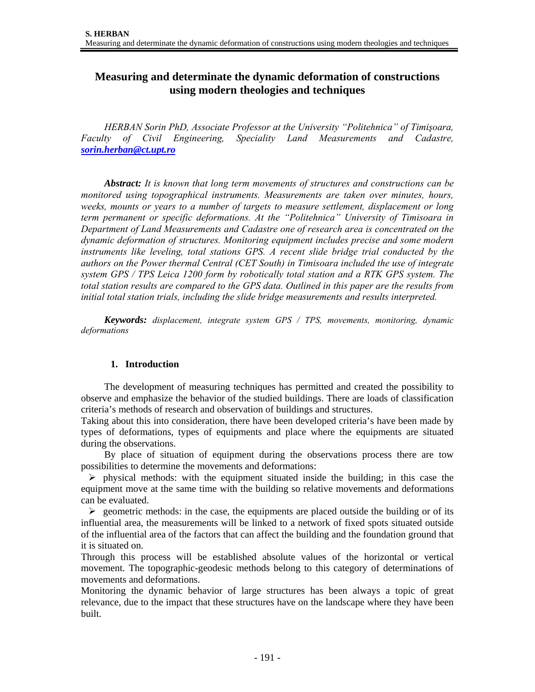# **Measuring and determinate the dynamic deformation of constructions using modern theologies and techniques**

*HERBAN Sorin PhD, Associate Professor at the University "Politehnica" of Timişoara, Faculty of Civil Engineering, Speciality Land Measurements and Cadastre, sorin.herban@ct.upt.ro* 

*Abstract: It is known that long term movements of structures and constructions can be monitored using topographical instruments. Measurements are taken over minutes, hours, weeks, mounts or years to a number of targets to measure settlement, displacement or long term permanent or specific deformations. At the "Politehnica" University of Timisoara in Department of Land Measurements and Cadastre one of research area is concentrated on the dynamic deformation of structures. Monitoring equipment includes precise and some modern instruments like leveling, total stations GPS. A recent slide bridge trial conducted by the authors on the Power thermal Central (CET South) in Timisoara included the use of integrate system GPS / TPS Leica 1200 form by robotically total station and a RTK GPS system. The total station results are compared to the GPS data. Outlined in this paper are the results from initial total station trials, including the slide bridge measurements and results interpreted.* 

*Keywords: displacement, integrate system GPS / TPS, movements, monitoring, dynamic deformations*

## **1. Introduction**

 The development of measuring techniques has permitted and created the possibility to observe and emphasize the behavior of the studied buildings. There are loads of classification criteria's methods of research and observation of buildings and structures.

Taking about this into consideration, there have been developed criteria's have been made by types of deformations, types of equipments and place where the equipments are situated during the observations.

 By place of situation of equipment during the observations process there are tow possibilities to determine the movements and deformations:

 $\triangleright$  physical methods: with the equipment situated inside the building; in this case the equipment move at the same time with the building so relative movements and deformations can be evaluated.

 $\triangleright$  geometric methods: in the case, the equipments are placed outside the building or of its influential area, the measurements will be linked to a network of fixed spots situated outside of the influential area of the factors that can affect the building and the foundation ground that it is situated on.

Through this process will be established absolute values of the horizontal or vertical movement. The topographic-geodesic methods belong to this category of determinations of movements and deformations.

Monitoring the dynamic behavior of large structures has been always a topic of great relevance, due to the impact that these structures have on the landscape where they have been built.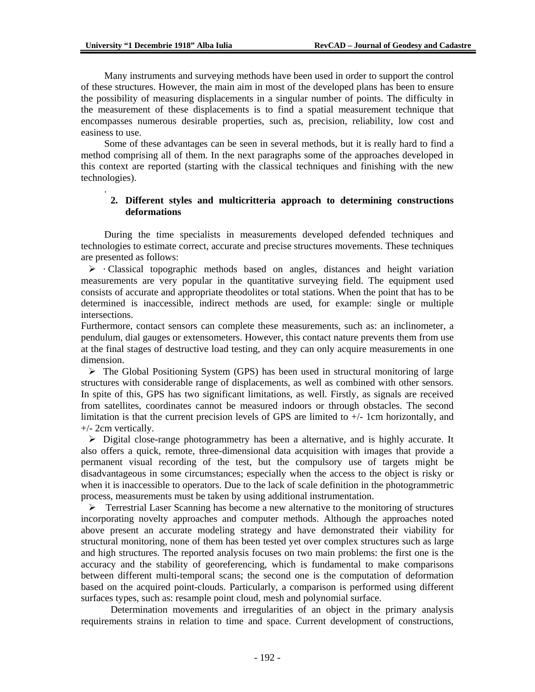.

 Many instruments and surveying methods have been used in order to support the control of these structures. However, the main aim in most of the developed plans has been to ensure the possibility of measuring displacements in a singular number of points. The difficulty in the measurement of these displacements is to find a spatial measurement technique that encompasses numerous desirable properties, such as, precision, reliability, low cost and easiness to use.

 Some of these advantages can be seen in several methods, but it is really hard to find a method comprising all of them. In the next paragraphs some of the approaches developed in this context are reported (starting with the classical techniques and finishing with the new technologies).

#### **2. Different styles and multicritteria approach to determining constructions deformations**

During the time specialists in measurements developed defended techniques and technologies to estimate correct, accurate and precise structures movements. These techniques are presented as follows:

 $\triangleright$  · Classical topographic methods based on angles, distances and height variation measurements are very popular in the quantitative surveying field. The equipment used consists of accurate and appropriate theodolites or total stations. When the point that has to be determined is inaccessible, indirect methods are used, for example: single or multiple intersections.

Furthermore, contact sensors can complete these measurements, such as: an inclinometer, a pendulum, dial gauges or extensometers. However, this contact nature prevents them from use at the final stages of destructive load testing, and they can only acquire measurements in one dimension.

 $\triangleright$  The Global Positioning System (GPS) has been used in structural monitoring of large structures with considerable range of displacements, as well as combined with other sensors. In spite of this, GPS has two significant limitations, as well. Firstly, as signals are received from satellites, coordinates cannot be measured indoors or through obstacles. The second limitation is that the current precision levels of GPS are limited to  $+/-$  1cm horizontally, and +/- 2cm vertically.

 $\triangleright$  Digital close-range photogrammetry has been a alternative, and is highly accurate. It also offers a quick, remote, three-dimensional data acquisition with images that provide a permanent visual recording of the test, but the compulsory use of targets might be disadvantageous in some circumstances; especially when the access to the object is risky or when it is inaccessible to operators. Due to the lack of scale definition in the photogrammetric process, measurements must be taken by using additional instrumentation.

 $\triangleright$  Terrestrial Laser Scanning has become a new alternative to the monitoring of structures incorporating novelty approaches and computer methods. Although the approaches noted above present an accurate modeling strategy and have demonstrated their viability for structural monitoring, none of them has been tested yet over complex structures such as large and high structures. The reported analysis focuses on two main problems: the first one is the accuracy and the stability of georeferencing, which is fundamental to make comparisons between different multi-temporal scans; the second one is the computation of deformation based on the acquired point-clouds. Particularly, a comparison is performed using different surfaces types, such as: resample point cloud, mesh and polynomial surface.

Determination movements and irregularities of an object in the primary analysis requirements strains in relation to time and space. Current development of constructions,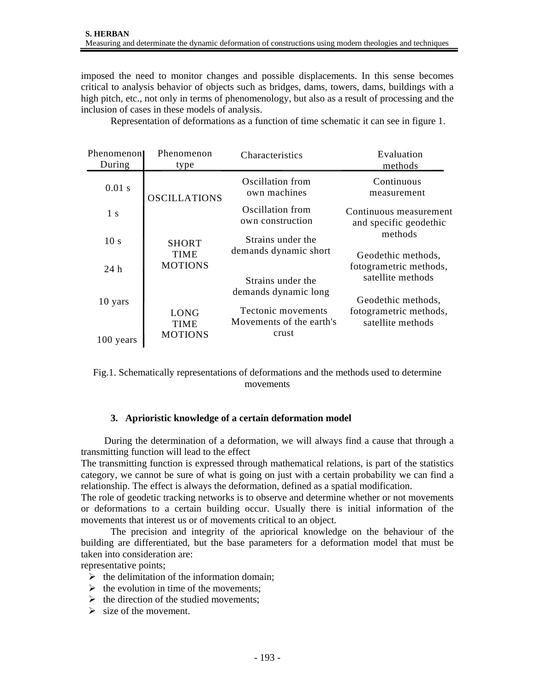imposed the need to monitor changes and possible displacements. In this sense becomes critical to analysis behavior of objects such as bridges, dams, towers, dams, buildings with a high pitch, etc., not only in terms of phenomenology, but also as a result of processing and the inclusion of cases in these models of analysis.

| Phenomenon<br>During | Phenomenon<br>type                           | Characteristics                                         | Evaluation<br>methods                            |  |  |
|----------------------|----------------------------------------------|---------------------------------------------------------|--------------------------------------------------|--|--|
| $0.01$ s             | <b>OSCILLATIONS</b>                          | Oscillation from<br>own machines                        | Continuous<br>measurement                        |  |  |
| 1 <sub>s</sub>       |                                              | Oscillation from<br>own construction                    | Continuous measurement<br>and specific geodethic |  |  |
| 10 <sub>s</sub>      | <b>SHORT</b><br><b>TIME</b>                  | Strains under the<br>demands dynamic short              | methods<br>Geodethic methods,                    |  |  |
| 24h                  | <b>MOTIONS</b>                               |                                                         | fotogrametric methods,<br>satellite methods      |  |  |
| 10 yars              |                                              | Strains under the<br>demands dynamic long               | Geodethic methods,                               |  |  |
| 100 years            | <b>LONG</b><br><b>TIME</b><br><b>MOTIONS</b> | Tectonic movements<br>Movements of the earth's<br>crust | fotogrametric methods,<br>satellite methods      |  |  |

Representation of deformations as a function of time schematic it can see in figure 1.

Fig.1. Schematically representations of deformations and the methods used to determine movements

## **3. Aprioristic knowledge of a certain deformation model**

During the determination of a deformation, we will always find a cause that through a transmitting function will lead to the effect

The transmitting function is expressed through mathematical relations, is part of the statistics category, we cannot be sure of what is going on just with a certain probability we can find a relationship. The effect is always the deformation, defined as a spatial modification.

The role of geodetic tracking networks is to observe and determine whether or not movements or deformations to a certain building occur. Usually there is initial information of the movements that interest us or of movements critical to an object.

The precision and integrity of the apriorical knowledge on the behaviour of the building are differentiated, but the base parameters for a deformation model that must be taken into consideration are:

representative points;

- $\triangleright$  the delimitation of the information domain;
- $\triangleright$  the evolution in time of the movements;
- $\triangleright$  the direction of the studied movements;
- $\triangleright$  size of the movement.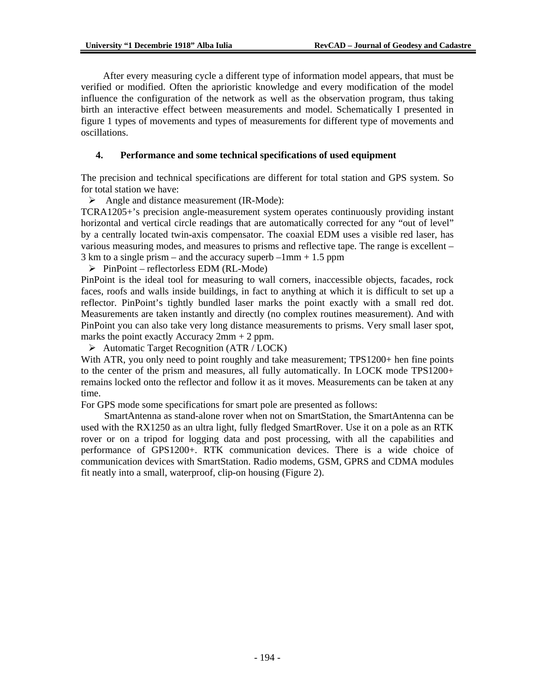After every measuring cycle a different type of information model appears, that must be verified or modified. Often the aprioristic knowledge and every modification of the model influence the configuration of the network as well as the observation program, thus taking birth an interactive effect between measurements and model. Schematically I presented in figure 1 types of movements and types of measurements for different type of movements and oscillations.

# **4. Performance and some technical specifications of used equipment**

The precision and technical specifications are different for total station and GPS system. So for total station we have:

 $\triangleright$  Angle and distance measurement (IR-Mode):

TCRA1205+'s precision angle-measurement system operates continuously providing instant horizontal and vertical circle readings that are automatically corrected for any "out of level" by a centrally located twin-axis compensator. The coaxial EDM uses a visible red laser, has various measuring modes, and measures to prisms and reflective tape. The range is excellent –  $3 \text{ km}$  to a single prism – and the accuracy superb –1mm + 1.5 ppm

 $\triangleright$  PinPoint – reflectorless EDM (RL-Mode)

PinPoint is the ideal tool for measuring to wall corners, inaccessible objects, facades, rock faces, roofs and walls inside buildings, in fact to anything at which it is difficult to set up a reflector. PinPoint's tightly bundled laser marks the point exactly with a small red dot. Measurements are taken instantly and directly (no complex routines measurement). And with PinPoint you can also take very long distance measurements to prisms. Very small laser spot, marks the point exactly Accuracy 2mm + 2 ppm.

 $\triangleright$  Automatic Target Recognition (ATR / LOCK)

With ATR, you only need to point roughly and take measurement; TPS1200+ hen fine points to the center of the prism and measures, all fully automatically. In LOCK mode TPS1200+ remains locked onto the reflector and follow it as it moves. Measurements can be taken at any time.

For GPS mode some specifications for smart pole are presented as follows:

SmartAntenna as stand-alone rover when not on SmartStation, the SmartAntenna can be used with the RX1250 as an ultra light, fully fledged SmartRover. Use it on a pole as an RTK rover or on a tripod for logging data and post processing, with all the capabilities and performance of GPS1200+. RTK communication devices. There is a wide choice of communication devices with SmartStation. Radio modems, GSM, GPRS and CDMA modules fit neatly into a small, waterproof, clip-on housing (Figure 2).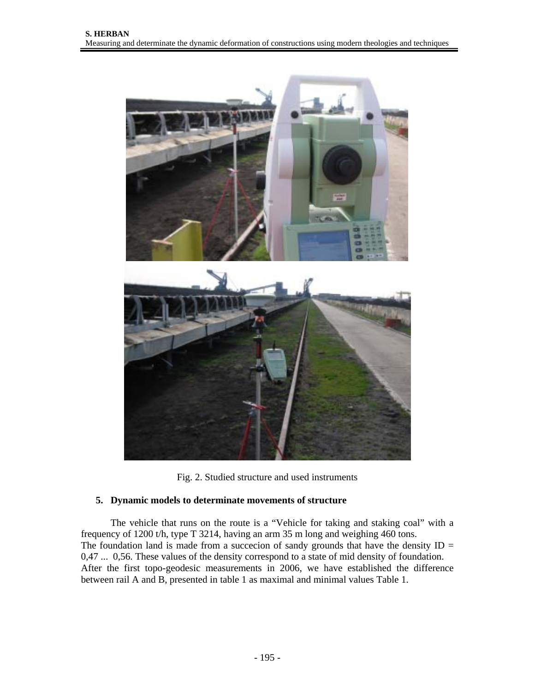



## **5. Dynamic models to determinate movements of structure**

The vehicle that runs on the route is a "Vehicle for taking and staking coal" with a frequency of 1200 t/h, type T 3214, having an arm 35 m long and weighing 460 tons. The foundation land is made from a succecion of sandy grounds that have the density  $ID =$ 0,47 ... 0,56. These values of the density correspond to a state of mid density of foundation. After the first topo-geodesic measurements in 2006, we have established the difference between rail A and B, presented in table 1 as maximal and minimal values Table 1.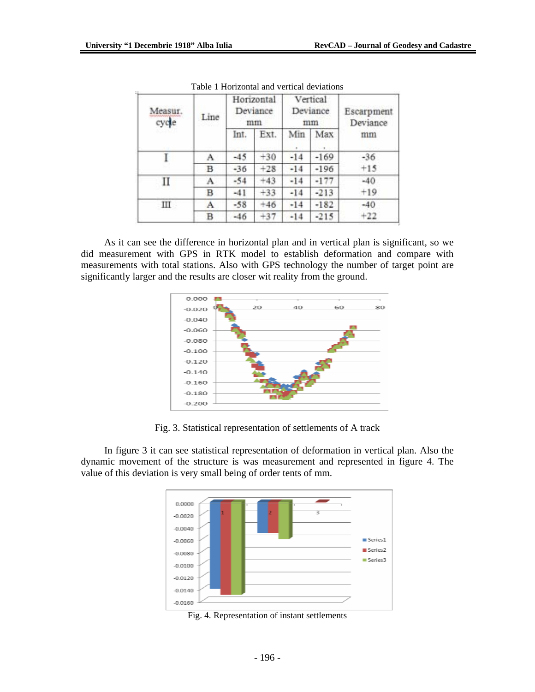| Measur.<br>cycle | Line | Horizontal<br>Deviance<br>mm |       | Vertical<br>Deviance<br>mm |        | Escarpment<br>Deviance |
|------------------|------|------------------------------|-------|----------------------------|--------|------------------------|
|                  |      | Int.                         | Ext.  | Min                        | Max    | mm                     |
|                  | A    | $-45$                        | $+30$ | $-14$                      | $-169$ | $-36$                  |
|                  | B    | $-36$                        | $+28$ | $-14$                      | $-196$ | $+15$                  |
| П                | A    | $-54$                        | $+43$ | $-14$                      | $-177$ | $-40$                  |
|                  | в    | $-41$                        | $+33$ | $-14$                      | $-213$ | $+19$                  |
| Ш                | А    | $-58$                        | $+46$ | $-14$                      | $-182$ | $-40$                  |
|                  | B    | $-46$                        | $+37$ | $-14$                      | $-215$ | $+22$                  |

Table 1 Horizontal and vertical deviations

As it can see the difference in horizontal plan and in vertical plan is significant, so we did measurement with GPS in RTK model to establish deformation and compare with measurements with total stations. Also with GPS technology the number of target point are significantly larger and the results are closer wit reality from the ground.



Fig. 3. Statistical representation of settlements of A track

In figure 3 it can see statistical representation of deformation in vertical plan. Also the dynamic movement of the structure is was measurement and represented in figure 4. The value of this deviation is very small being of order tents of mm.



Fig. 4. Representation of instant settlements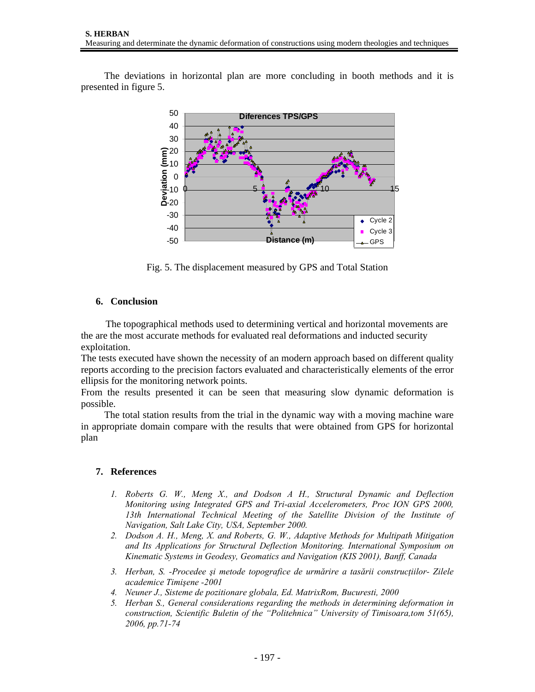The deviations in horizontal plan are more concluding in booth methods and it is presented in figure 5.



Fig. 5. The displacement measured by GPS and Total Station

# **6. Conclusion**

 The topographical methods used to determining vertical and horizontal movements are the are the most accurate methods for evaluated real deformations and inducted security exploitation.

The tests executed have shown the necessity of an modern approach based on different quality reports according to the precision factors evaluated and characteristically elements of the error ellipsis for the monitoring network points.

From the results presented it can be seen that measuring slow dynamic deformation is possible.

The total station results from the trial in the dynamic way with a moving machine ware in appropriate domain compare with the results that were obtained from GPS for horizontal plan

# **7. References**

- *1. Roberts G. W., Meng X., and Dodson A H., Structural Dynamic and Deflection Monitoring using Integrated GPS and Tri-axial Accelerometers, Proc ION GPS 2000, 13th International Technical Meeting of the Satellite Division of the Institute of Navigation, Salt Lake City, USA, September 2000.*
- *2. Dodson A. H., Meng, X. and Roberts, G. W., Adaptive Methods for Multipath Mitigation and Its Applications for Structural Deflection Monitoring. International Symposium on Kinematic Systems in Geodesy, Geomatics and Navigation (KIS 2001), Banff, Canada*
- *3. Herban, S. -Procedee şi metode topografice de urmărire a tasării construcţiilor- Zilele academice Timişene -2001*
- *4. Neuner J., Sisteme de pozitionare globala, Ed. MatrixRom, Bucuresti, 2000*
- *5. Herban S., General considerations regarding the methods in determining deformation in construction, Scientific Buletin of the "Politehnica" University of Timisoara,tom 51(65), 2006, pp.71-74*